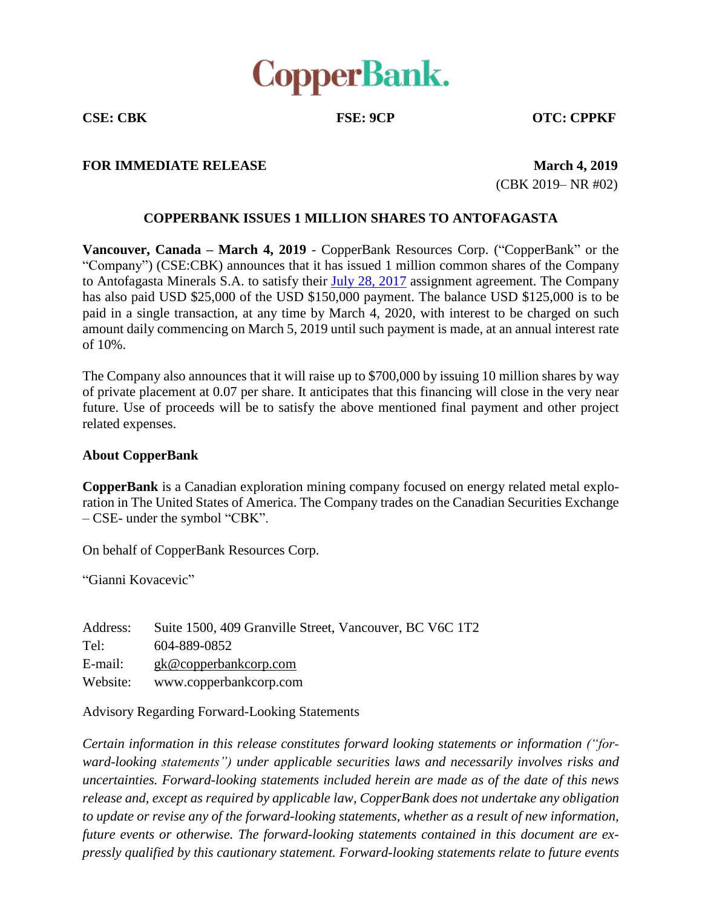

**CSE: CBK FSE: 9CP OTC: CPPKF**

## **FOR IMMEDIATE RELEASE March 1,** 2019

(CBK 2019– NR #02)

## **COPPERBANK ISSUES 1 MILLION SHARES TO ANTOFAGASTA**

**Vancouver, Canada – March 4, 2019** - CopperBank Resources Corp. ("CopperBank" or the "Company") (CSE:CBK) announces that it has issued 1 million common shares of the Company to Antofagasta Minerals S.A. to satisfy their July 28, [2017](http://copperbankcorp.com/_resources/news/2017/nr_20170731.pdf) assignment agreement. The Company has also paid USD \$25,000 of the USD \$150,000 payment. The balance USD \$125,000 is to be paid in a single transaction, at any time by March 4, 2020, with interest to be charged on such amount daily commencing on March 5, 2019 until such payment is made, at an annual interest rate of 10%.

The Company also announces that it will raise up to \$700,000 by issuing 10 million shares by way of private placement at 0.07 per share. It anticipates that this financing will close in the very near future. Use of proceeds will be to satisfy the above mentioned final payment and other project related expenses.

## **About CopperBank**

**CopperBank** is a Canadian exploration mining company focused on energy related metal exploration in The United States of America. The Company trades on the Canadian Securities Exchange – CSE- under the symbol "CBK".

On behalf of CopperBank Resources Corp.

"Gianni Kovacevic"

| Address: | Suite 1500, 409 Granville Street, Vancouver, BC V6C 1T2 |
|----------|---------------------------------------------------------|
| Tel:     | 604-889-0852                                            |
| E-mail:  | $g k@$ copperbankcorp.com                               |
| Website: | www.copperbankcorp.com                                  |

Advisory Regarding Forward-Looking Statements

*Certain information in this release constitutes forward looking statements or information ("forward-looking statements") under applicable securities laws and necessarily involves risks and uncertainties. Forward-looking statements included herein are made as of the date of this news release and, except as required by applicable law, CopperBank does not undertake any obligation to update or revise any of the forward-looking statements, whether as a result of new information, future events or otherwise. The forward-looking statements contained in this document are expressly qualified by this cautionary statement. Forward-looking statements relate to future events*